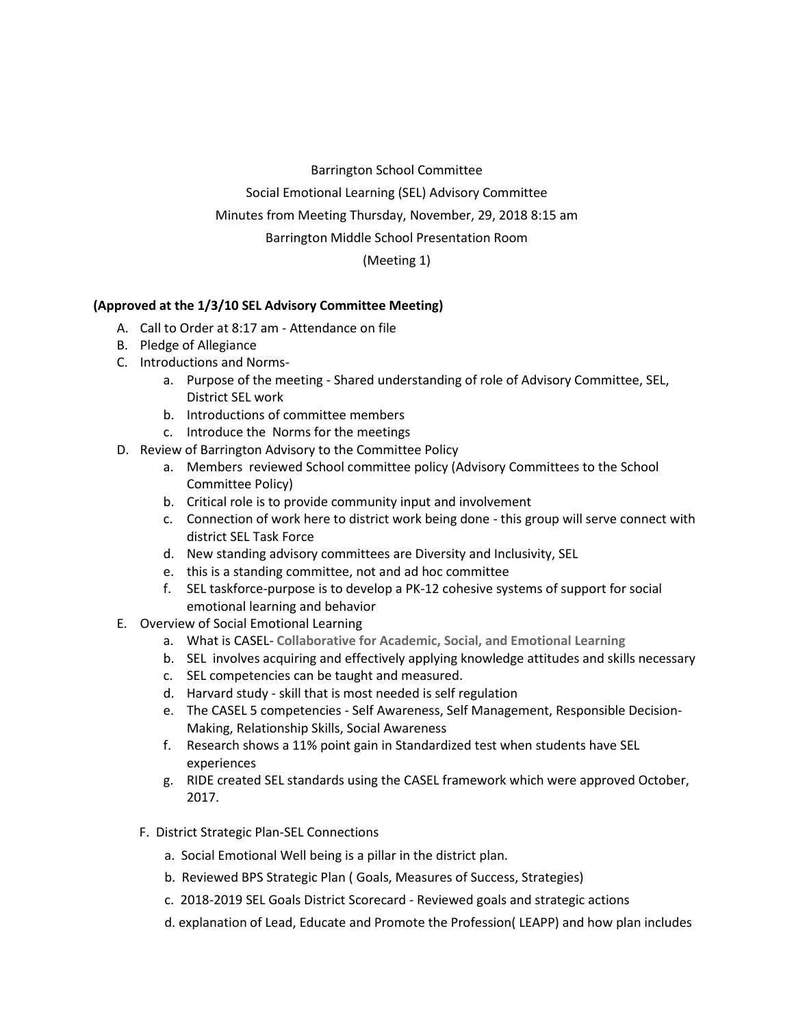Barrington School Committee

Social Emotional Learning (SEL) Advisory Committee

Minutes from Meeting Thursday, November, 29, 2018 8:15 am

Barrington Middle School Presentation Room

(Meeting 1)

## **(Approved at the 1/3/10 SEL Advisory Committee Meeting)**

- A. Call to Order at 8:17 am Attendance on file
- B. Pledge of Allegiance
- C. Introductions and Norms
	- a. Purpose of the meeting Shared understanding of role of Advisory Committee, SEL, District SEL work
	- b. Introductions of committee members
	- c. Introduce the Norms for the meetings
- D. Review of Barrington Advisory to the Committee Policy
	- a. Members reviewed School committee policy (Advisory Committees to the School Committee Policy)
	- b. Critical role is to provide community input and involvement
	- c. Connection of work here to district work being done this group will serve connect with district SEL Task Force
	- d. New standing advisory committees are Diversity and Inclusivity, SEL
	- e. this is a standing committee, not and ad hoc committee
	- f. SEL taskforce-purpose is to develop a PK-12 cohesive systems of support for social emotional learning and behavior
- E. Overview of Social Emotional Learning
	- a. What is CASEL- **Collaborative for Academic, Social, and Emotional Learning**
	- b. SEL involves acquiring and effectively applying knowledge attitudes and skills necessary
	- c. SEL competencies can be taught and measured.
	- d. Harvard study skill that is most needed is self regulation
	- e. The CASEL 5 competencies Self Awareness, Self Management, Responsible Decision-Making, Relationship Skills, Social Awareness
	- f. Research shows a 11% point gain in Standardized test when students have SEL experiences
	- g. RIDE created SEL standards using the CASEL framework which were approved October, 2017.
	- F. District Strategic Plan-SEL Connections
		- a. Social Emotional Well being is a pillar in the district plan.
		- b. Reviewed BPS Strategic Plan ( Goals, Measures of Success, Strategies)
		- c. 2018-2019 SEL Goals District Scorecard Reviewed goals and strategic actions
		- d. explanation of Lead, Educate and Promote the Profession( LEAPP) and how plan includes